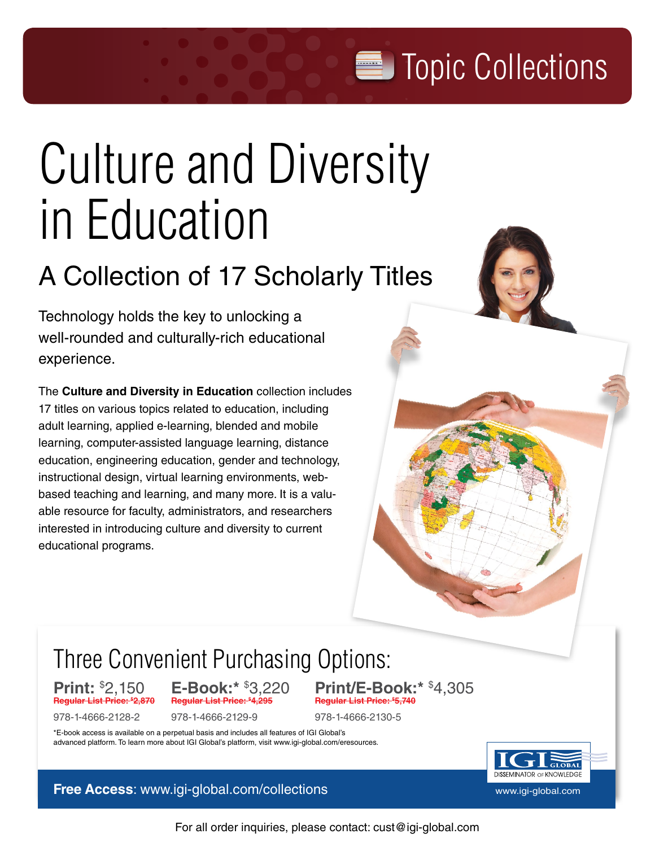**Topic Collections** 

# [Culture and Diversity](http://www.igi-global.com/topic-collection/culture-diversity-education/70256)  [in Education](http://www.igi-global.com/topic-collection/culture-diversity-education/70256)

# A Collection of 17 Scholarly Titles

Technology holds the key to unlocking a well-rounded and culturally-rich educational experience.

The **Culture and Diversity in Education** collection includes 17 titles on various topics related to education, including adult learning, applied e-learning, blended and mobile learning, computer-assisted language learning, distance education, engineering education, gender and technology, instructional design, virtual learning environments, webbased teaching and learning, and many more. It is a valuable resource for faculty, administrators, and researchers interested in introducing culture and diversity to current educational programs.

# Three Convenient Purchasing Opti[ons:](http://www.igi-global.com/topic-collection/culture-diversity-education/70256)

**Print:** \$ **Regular List Price: \$**

**E-Book:\* \$3,220 Regular List Price:** 

978-1-4666-2128-2 978-1-4666-2129-9 978-1-4666-2130-5

3,220 **Print/E-Book:\*** \$ 4,305 **4,295 Regular List Price: \$ 5,740**

\*E-book access is available on a perpetual basis and includes all features of IGI Global's advanced platform. To learn more about IGI Global's platform, visit www.igi-global.com/eresources.

**Free Access**: [www.igi-global.com](http://www.igi-global.com)/collections www.igi-global.com

**DISSEMINATOR OF KNOWLEDGE** 

For all order inquiries, please contact: cust@igi-global.com